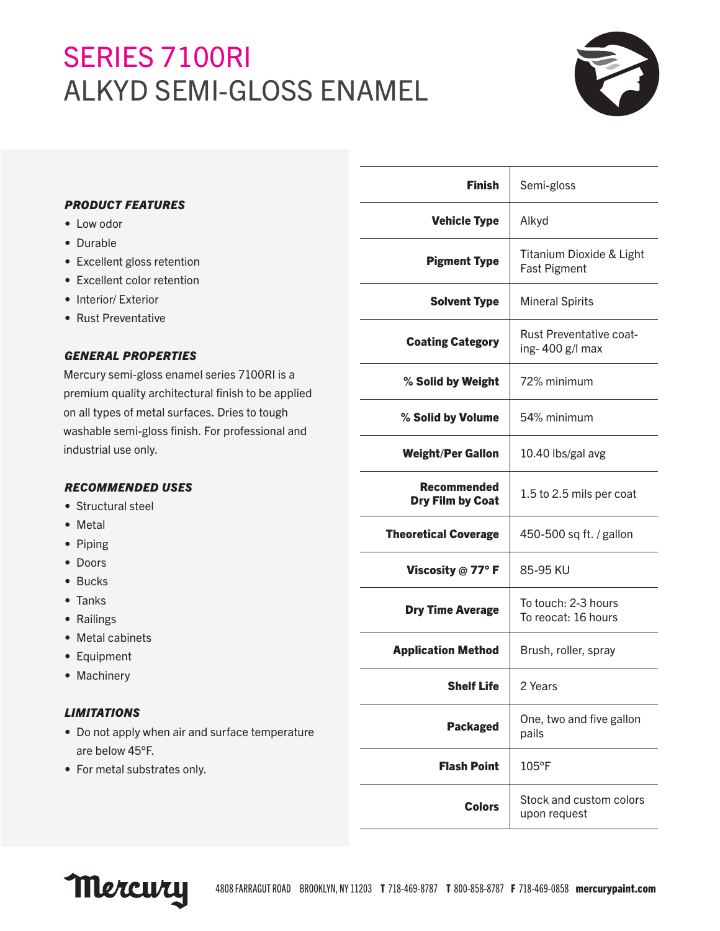# SERIES 7100RI ALKYD SEMI-GLOSS ENAMEL



# *PRODUCT FEATURES*

- Low odor
- Durable
- Excellent gloss retention
- Excellent color retention
- Interior/ Exterior
- Rust Preventative

# *GENERAL PROPERTIES*

Mercury semi-gloss enamel series 7100RI is a premium quality architectural finish to be applied on all types of metal surfaces. Dries to tough washable semi-gloss finish. For professional and industrial use only.

## *RECOMMENDED USES*

- Structural steel
- Metal
- Piping
- Doors
- Bucks
- Tanks
- Railings
- Metal cabinets
- Equipment
- Machinery

# *LIMITATIONS*

- Do not apply when air and surface temperature are below 45°F.
- For metal substrates only.

| <b>Finish</b>                          | Semi-gloss                                        |
|----------------------------------------|---------------------------------------------------|
| <b>Vehicle Type</b>                    | Alkyd                                             |
| <b>Pigment Type</b>                    | Titanium Dioxide & Light<br><b>Fast Pigment</b>   |
| <b>Solvent Type</b>                    | <b>Mineral Spirits</b>                            |
| <b>Coating Category</b>                | <b>Rust Preventative coat-</b><br>ing-400 g/l max |
| % Solid by Weight                      | 72% minimum                                       |
| % Solid by Volume                      | 54% minimum                                       |
| <b>Weight/Per Gallon</b>               | 10.40 lbs/gal avg                                 |
| Recommended<br><b>Dry Film by Coat</b> | 1.5 to 2.5 mils per coat                          |
| <b>Theoretical Coverage</b>            | 450-500 sq ft. / gallon                           |
| Viscosity $@$ 77° F                    | 85-95 KU                                          |
| <b>Dry Time Average</b>                | To touch: 2-3 hours<br>To reocat: 16 hours        |
| <b>Application Method</b>              | Brush, roller, spray                              |
| <b>Shelf Life</b>                      | 2 Years                                           |
| <b>Packaged</b>                        | One, two and five gallon<br>pails                 |
| <b>Flash Point</b>                     | $105^{\circ}$ F                                   |
| <b>Colors</b>                          | Stock and custom colors<br>upon request           |